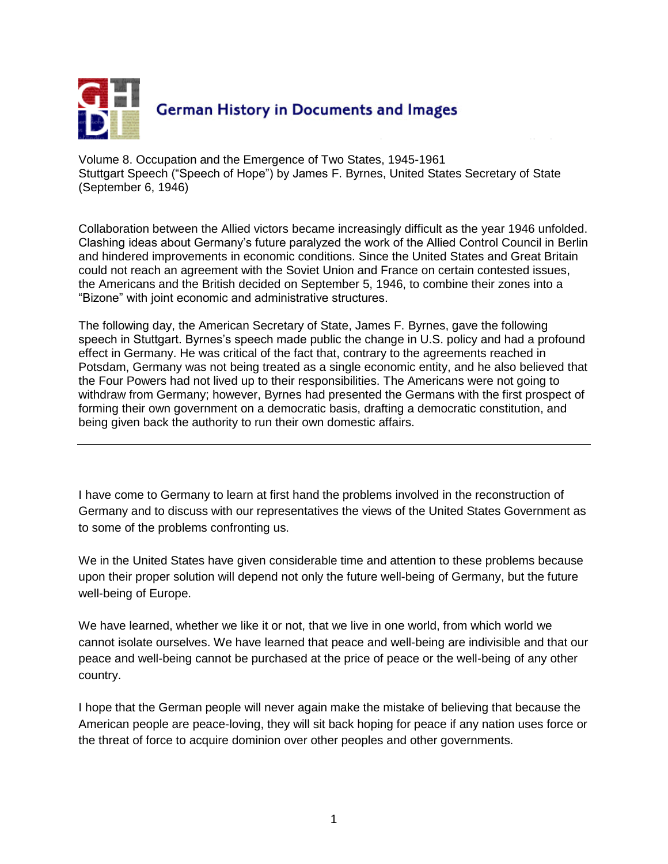

Volume 8. Occupation and the Emergence of Two States, 1945-1961 Stuttgart Speech ("Speech of Hope") by James F. Byrnes, United States Secretary of State (September 6, 1946)

Collaboration between the Allied victors became increasingly difficult as the year 1946 unfolded. Clashing ideas about Germany's future paralyzed the work of the Allied Control Council in Berlin and hindered improvements in economic conditions. Since the United States and Great Britain could not reach an agreement with the Soviet Union and France on certain contested issues, the Americans and the British decided on September 5, 1946, to combine their zones into a "Bizone" with joint economic and administrative structures.

The following day, the American Secretary of State, James F. Byrnes, gave the following speech in Stuttgart. Byrnes's speech made public the change in U.S. policy and had a profound effect in Germany. He was critical of the fact that, contrary to the agreements reached in Potsdam, Germany was not being treated as a single economic entity, and he also believed that the Four Powers had not lived up to their responsibilities. The Americans were not going to withdraw from Germany; however, Byrnes had presented the Germans with the first prospect of forming their own government on a democratic basis, drafting a democratic constitution, and being given back the authority to run their own domestic affairs.

I have come to Germany to learn at first hand the problems involved in the reconstruction of Germany and to discuss with our representatives the views of the United States Government as to some of the problems confronting us.

We in the United States have given considerable time and attention to these problems because upon their proper solution will depend not only the future well-being of Germany, but the future well-being of Europe.

We have learned, whether we like it or not, that we live in one world, from which world we cannot isolate ourselves. We have learned that peace and well-being are indivisible and that our peace and well-being cannot be purchased at the price of peace or the well-being of any other country.

I hope that the German people will never again make the mistake of believing that because the American people are peace-loving, they will sit back hoping for peace if any nation uses force or the threat of force to acquire dominion over other peoples and other governments.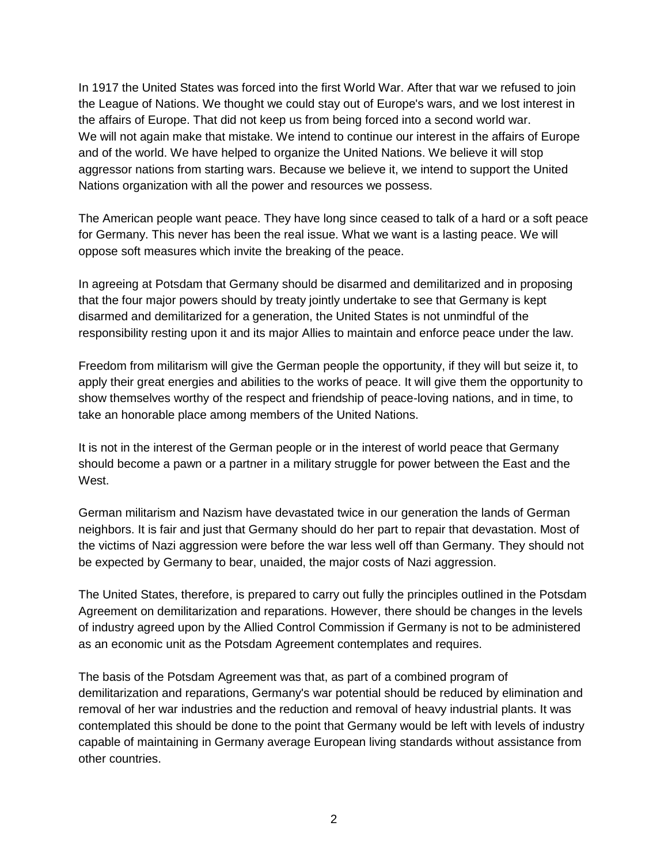In 1917 the United States was forced into the first World War. After that war we refused to join the League of Nations. We thought we could stay out of Europe's wars, and we lost interest in the affairs of Europe. That did not keep us from being forced into a second world war. We will not again make that mistake. We intend to continue our interest in the affairs of Europe and of the world. We have helped to organize the United Nations. We believe it will stop aggressor nations from starting wars. Because we believe it, we intend to support the United Nations organization with all the power and resources we possess.

The American people want peace. They have long since ceased to talk of a hard or a soft peace for Germany. This never has been the real issue. What we want is a lasting peace. We will oppose soft measures which invite the breaking of the peace.

In agreeing at Potsdam that Germany should be disarmed and demilitarized and in proposing that the four major powers should by treaty jointly undertake to see that Germany is kept disarmed and demilitarized for a generation, the United States is not unmindful of the responsibility resting upon it and its major Allies to maintain and enforce peace under the law.

Freedom from militarism will give the German people the opportunity, if they will but seize it, to apply their great energies and abilities to the works of peace. It will give them the opportunity to show themselves worthy of the respect and friendship of peace-loving nations, and in time, to take an honorable place among members of the United Nations.

It is not in the interest of the German people or in the interest of world peace that Germany should become a pawn or a partner in a military struggle for power between the East and the West.

German militarism and Nazism have devastated twice in our generation the lands of German neighbors. It is fair and just that Germany should do her part to repair that devastation. Most of the victims of Nazi aggression were before the war less well off than Germany. They should not be expected by Germany to bear, unaided, the major costs of Nazi aggression.

The United States, therefore, is prepared to carry out fully the principles outlined in the Potsdam Agreement on demilitarization and reparations. However, there should be changes in the levels of industry agreed upon by the Allied Control Commission if Germany is not to be administered as an economic unit as the Potsdam Agreement contemplates and requires.

The basis of the Potsdam Agreement was that, as part of a combined program of demilitarization and reparations, Germany's war potential should be reduced by elimination and removal of her war industries and the reduction and removal of heavy industrial plants. It was contemplated this should be done to the point that Germany would be left with levels of industry capable of maintaining in Germany average European living standards without assistance from other countries.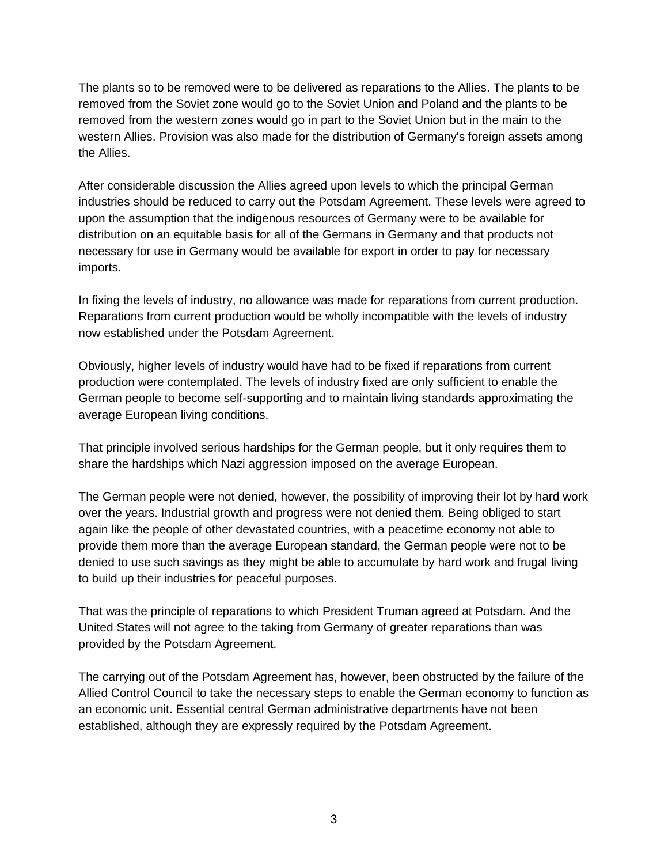The plants so to be removed were to be delivered as reparations to the Allies. The plants to be removed from the Soviet zone would go to the Soviet Union and Poland and the plants to be removed from the western zones would go in part to the Soviet Union but in the main to the western Allies. Provision was also made for the distribution of Germany's foreign assets among the Allies.

After considerable discussion the Allies agreed upon levels to which the principal German industries should be reduced to carry out the Potsdam Agreement. These levels were agreed to upon the assumption that the indigenous resources of Germany were to be available for distribution on an equitable basis for all of the Germans in Germany and that products not necessary for use in Germany would be available for export in order to pay for necessary imports.

In fixing the levels of industry, no allowance was made for reparations from current production. Reparations from current production would be wholly incompatible with the levels of industry now established under the Potsdam Agreement.

Obviously, higher levels of industry would have had to be fixed if reparations from current production were contemplated. The levels of industry fixed are only sufficient to enable the German people to become self-supporting and to maintain living standards approximating the average European living conditions.

That principle involved serious hardships for the German people, but it only requires them to share the hardships which Nazi aggression imposed on the average European.

The German people were not denied, however, the possibility of improving their lot by hard work over the years. Industrial growth and progress were not denied them. Being obliged to start again like the people of other devastated countries, with a peacetime economy not able to provide them more than the average European standard, the German people were not to be denied to use such savings as they might be able to accumulate by hard work and frugal living to build up their industries for peaceful purposes.

That was the principle of reparations to which President Truman agreed at Potsdam. And the United States will not agree to the taking from Germany of greater reparations than was provided by the Potsdam Agreement.

The carrying out of the Potsdam Agreement has, however, been obstructed by the failure of the Allied Control Council to take the necessary steps to enable the German economy to function as an economic unit. Essential central German administrative departments have not been established, although they are expressly required by the Potsdam Agreement.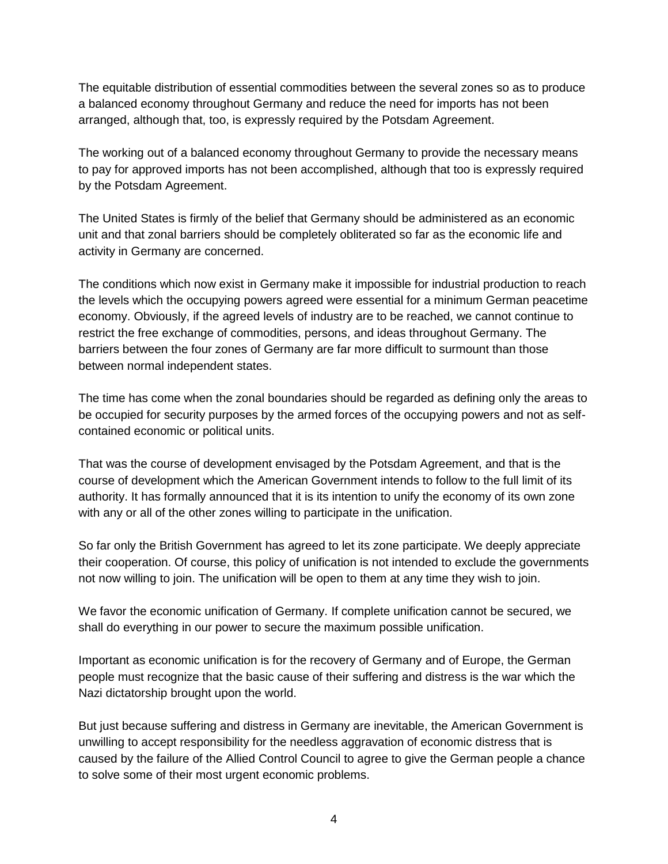The equitable distribution of essential commodities between the several zones so as to produce a balanced economy throughout Germany and reduce the need for imports has not been arranged, although that, too, is expressly required by the Potsdam Agreement.

The working out of a balanced economy throughout Germany to provide the necessary means to pay for approved imports has not been accomplished, although that too is expressly required by the Potsdam Agreement.

The United States is firmly of the belief that Germany should be administered as an economic unit and that zonal barriers should be completely obliterated so far as the economic life and activity in Germany are concerned.

The conditions which now exist in Germany make it impossible for industrial production to reach the levels which the occupying powers agreed were essential for a minimum German peacetime economy. Obviously, if the agreed levels of industry are to be reached, we cannot continue to restrict the free exchange of commodities, persons, and ideas throughout Germany. The barriers between the four zones of Germany are far more difficult to surmount than those between normal independent states.

The time has come when the zonal boundaries should be regarded as defining only the areas to be occupied for security purposes by the armed forces of the occupying powers and not as selfcontained economic or political units.

That was the course of development envisaged by the Potsdam Agreement, and that is the course of development which the American Government intends to follow to the full limit of its authority. It has formally announced that it is its intention to unify the economy of its own zone with any or all of the other zones willing to participate in the unification.

So far only the British Government has agreed to let its zone participate. We deeply appreciate their cooperation. Of course, this policy of unification is not intended to exclude the governments not now willing to join. The unification will be open to them at any time they wish to join.

We favor the economic unification of Germany. If complete unification cannot be secured, we shall do everything in our power to secure the maximum possible unification.

Important as economic unification is for the recovery of Germany and of Europe, the German people must recognize that the basic cause of their suffering and distress is the war which the Nazi dictatorship brought upon the world.

But just because suffering and distress in Germany are inevitable, the American Government is unwilling to accept responsibility for the needless aggravation of economic distress that is caused by the failure of the Allied Control Council to agree to give the German people a chance to solve some of their most urgent economic problems.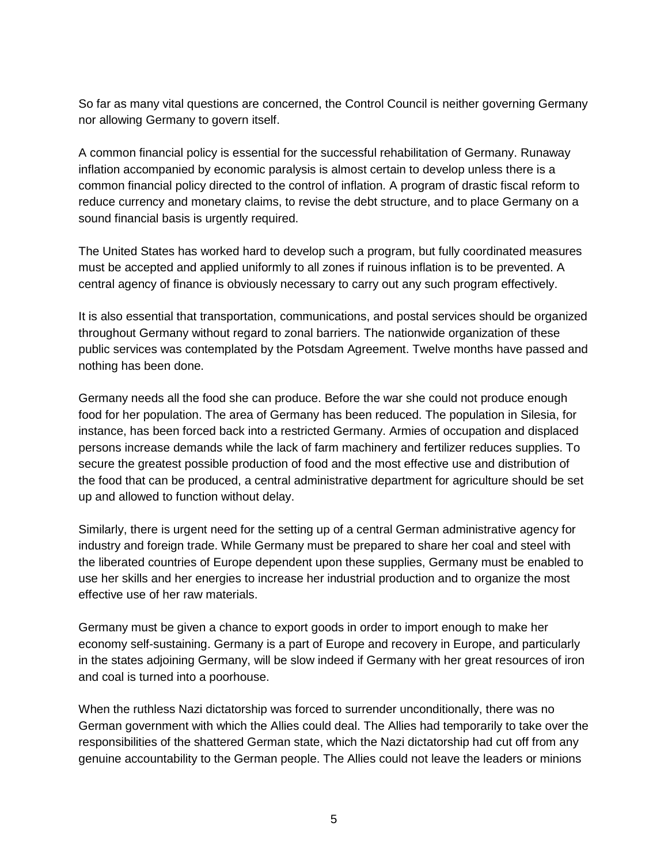So far as many vital questions are concerned, the Control Council is neither governing Germany nor allowing Germany to govern itself.

A common financial policy is essential for the successful rehabilitation of Germany. Runaway inflation accompanied by economic paralysis is almost certain to develop unless there is a common financial policy directed to the control of inflation. A program of drastic fiscal reform to reduce currency and monetary claims, to revise the debt structure, and to place Germany on a sound financial basis is urgently required.

The United States has worked hard to develop such a program, but fully coordinated measures must be accepted and applied uniformly to all zones if ruinous inflation is to be prevented. A central agency of finance is obviously necessary to carry out any such program effectively.

It is also essential that transportation, communications, and postal services should be organized throughout Germany without regard to zonal barriers. The nationwide organization of these public services was contemplated by the Potsdam Agreement. Twelve months have passed and nothing has been done.

Germany needs all the food she can produce. Before the war she could not produce enough food for her population. The area of Germany has been reduced. The population in Silesia, for instance, has been forced back into a restricted Germany. Armies of occupation and displaced persons increase demands while the lack of farm machinery and fertilizer reduces supplies. To secure the greatest possible production of food and the most effective use and distribution of the food that can be produced, a central administrative department for agriculture should be set up and allowed to function without delay.

Similarly, there is urgent need for the setting up of a central German administrative agency for industry and foreign trade. While Germany must be prepared to share her coal and steel with the liberated countries of Europe dependent upon these supplies, Germany must be enabled to use her skills and her energies to increase her industrial production and to organize the most effective use of her raw materials.

Germany must be given a chance to export goods in order to import enough to make her economy self-sustaining. Germany is a part of Europe and recovery in Europe, and particularly in the states adjoining Germany, will be slow indeed if Germany with her great resources of iron and coal is turned into a poorhouse.

When the ruthless Nazi dictatorship was forced to surrender unconditionally, there was no German government with which the Allies could deal. The Allies had temporarily to take over the responsibilities of the shattered German state, which the Nazi dictatorship had cut off from any genuine accountability to the German people. The Allies could not leave the leaders or minions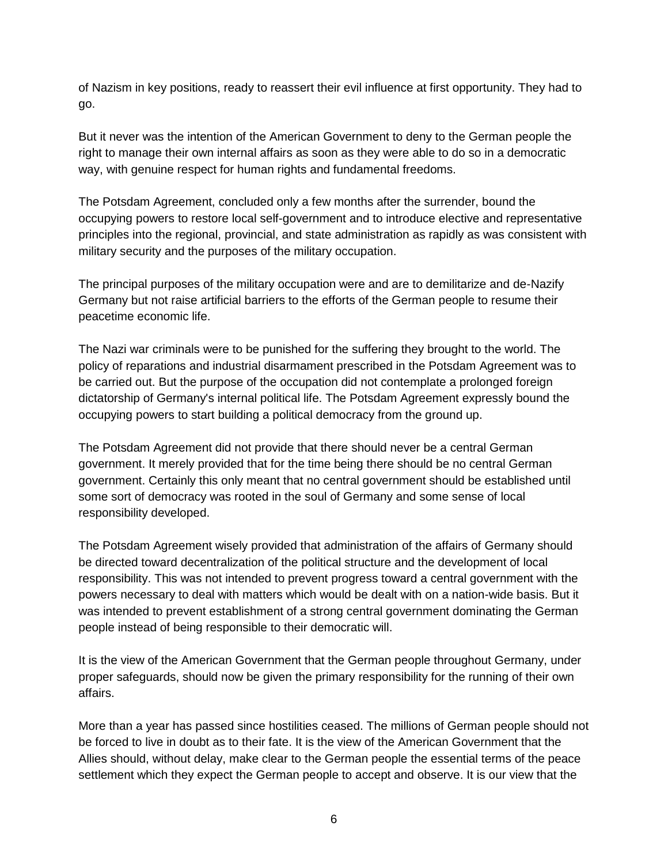of Nazism in key positions, ready to reassert their evil influence at first opportunity. They had to go.

But it never was the intention of the American Government to deny to the German people the right to manage their own internal affairs as soon as they were able to do so in a democratic way, with genuine respect for human rights and fundamental freedoms.

The Potsdam Agreement, concluded only a few months after the surrender, bound the occupying powers to restore local self-government and to introduce elective and representative principles into the regional, provincial, and state administration as rapidly as was consistent with military security and the purposes of the military occupation.

The principal purposes of the military occupation were and are to demilitarize and de-Nazify Germany but not raise artificial barriers to the efforts of the German people to resume their peacetime economic life.

The Nazi war criminals were to be punished for the suffering they brought to the world. The policy of reparations and industrial disarmament prescribed in the Potsdam Agreement was to be carried out. But the purpose of the occupation did not contemplate a prolonged foreign dictatorship of Germany's internal political life. The Potsdam Agreement expressly bound the occupying powers to start building a political democracy from the ground up.

The Potsdam Agreement did not provide that there should never be a central German government. It merely provided that for the time being there should be no central German government. Certainly this only meant that no central government should be established until some sort of democracy was rooted in the soul of Germany and some sense of local responsibility developed.

The Potsdam Agreement wisely provided that administration of the affairs of Germany should be directed toward decentralization of the political structure and the development of local responsibility. This was not intended to prevent progress toward a central government with the powers necessary to deal with matters which would be dealt with on a nation-wide basis. But it was intended to prevent establishment of a strong central government dominating the German people instead of being responsible to their democratic will.

It is the view of the American Government that the German people throughout Germany, under proper safeguards, should now be given the primary responsibility for the running of their own affairs.

More than a year has passed since hostilities ceased. The millions of German people should not be forced to live in doubt as to their fate. It is the view of the American Government that the Allies should, without delay, make clear to the German people the essential terms of the peace settlement which they expect the German people to accept and observe. It is our view that the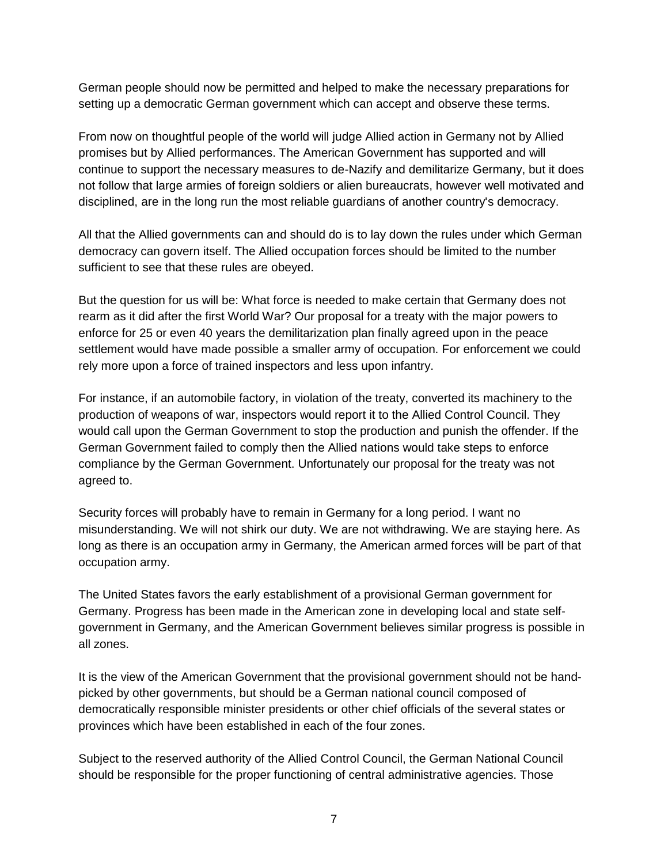German people should now be permitted and helped to make the necessary preparations for setting up a democratic German government which can accept and observe these terms.

From now on thoughtful people of the world will judge Allied action in Germany not by Allied promises but by Allied performances. The American Government has supported and will continue to support the necessary measures to de-Nazify and demilitarize Germany, but it does not follow that large armies of foreign soldiers or alien bureaucrats, however well motivated and disciplined, are in the long run the most reliable guardians of another country's democracy.

All that the Allied governments can and should do is to lay down the rules under which German democracy can govern itself. The Allied occupation forces should be limited to the number sufficient to see that these rules are obeyed.

But the question for us will be: What force is needed to make certain that Germany does not rearm as it did after the first World War? Our proposal for a treaty with the major powers to enforce for 25 or even 40 years the demilitarization plan finally agreed upon in the peace settlement would have made possible a smaller army of occupation. For enforcement we could rely more upon a force of trained inspectors and less upon infantry.

For instance, if an automobile factory, in violation of the treaty, converted its machinery to the production of weapons of war, inspectors would report it to the Allied Control Council. They would call upon the German Government to stop the production and punish the offender. If the German Government failed to comply then the Allied nations would take steps to enforce compliance by the German Government. Unfortunately our proposal for the treaty was not agreed to.

Security forces will probably have to remain in Germany for a long period. I want no misunderstanding. We will not shirk our duty. We are not withdrawing. We are staying here. As long as there is an occupation army in Germany, the American armed forces will be part of that occupation army.

The United States favors the early establishment of a provisional German government for Germany. Progress has been made in the American zone in developing local and state selfgovernment in Germany, and the American Government believes similar progress is possible in all zones.

It is the view of the American Government that the provisional government should not be handpicked by other governments, but should be a German national council composed of democratically responsible minister presidents or other chief officials of the several states or provinces which have been established in each of the four zones.

Subject to the reserved authority of the Allied Control Council, the German National Council should be responsible for the proper functioning of central administrative agencies. Those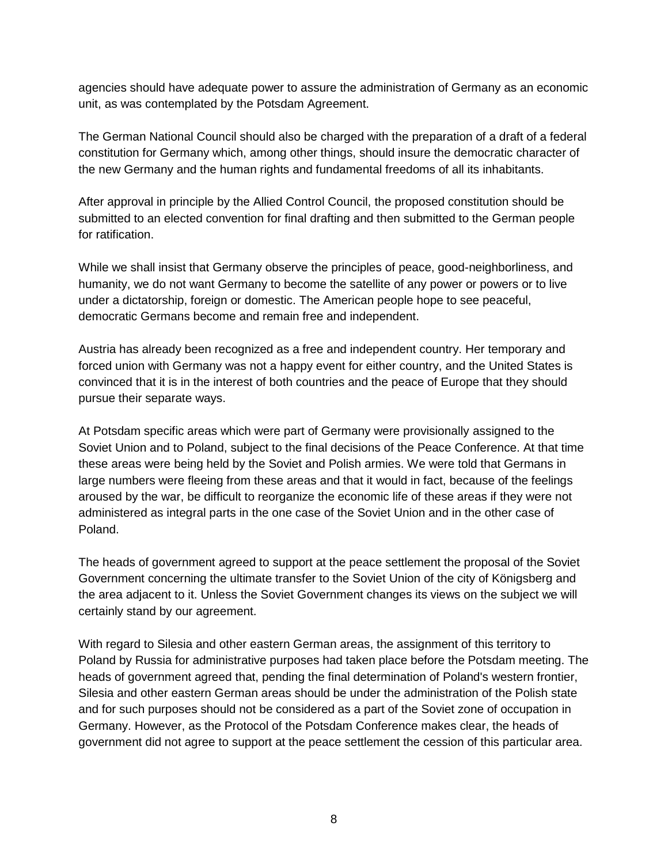agencies should have adequate power to assure the administration of Germany as an economic unit, as was contemplated by the Potsdam Agreement.

The German National Council should also be charged with the preparation of a draft of a federal constitution for Germany which, among other things, should insure the democratic character of the new Germany and the human rights and fundamental freedoms of all its inhabitants.

After approval in principle by the Allied Control Council, the proposed constitution should be submitted to an elected convention for final drafting and then submitted to the German people for ratification.

While we shall insist that Germany observe the principles of peace, good-neighborliness, and humanity, we do not want Germany to become the satellite of any power or powers or to live under a dictatorship, foreign or domestic. The American people hope to see peaceful, democratic Germans become and remain free and independent.

Austria has already been recognized as a free and independent country. Her temporary and forced union with Germany was not a happy event for either country, and the United States is convinced that it is in the interest of both countries and the peace of Europe that they should pursue their separate ways.

At Potsdam specific areas which were part of Germany were provisionally assigned to the Soviet Union and to Poland, subject to the final decisions of the Peace Conference. At that time these areas were being held by the Soviet and Polish armies. We were told that Germans in large numbers were fleeing from these areas and that it would in fact, because of the feelings aroused by the war, be difficult to reorganize the economic life of these areas if they were not administered as integral parts in the one case of the Soviet Union and in the other case of Poland.

The heads of government agreed to support at the peace settlement the proposal of the Soviet Government concerning the ultimate transfer to the Soviet Union of the city of Königsberg and the area adjacent to it. Unless the Soviet Government changes its views on the subject we will certainly stand by our agreement.

With regard to Silesia and other eastern German areas, the assignment of this territory to Poland by Russia for administrative purposes had taken place before the Potsdam meeting. The heads of government agreed that, pending the final determination of Poland's western frontier, Silesia and other eastern German areas should be under the administration of the Polish state and for such purposes should not be considered as a part of the Soviet zone of occupation in Germany. However, as the Protocol of the Potsdam Conference makes clear, the heads of government did not agree to support at the peace settlement the cession of this particular area.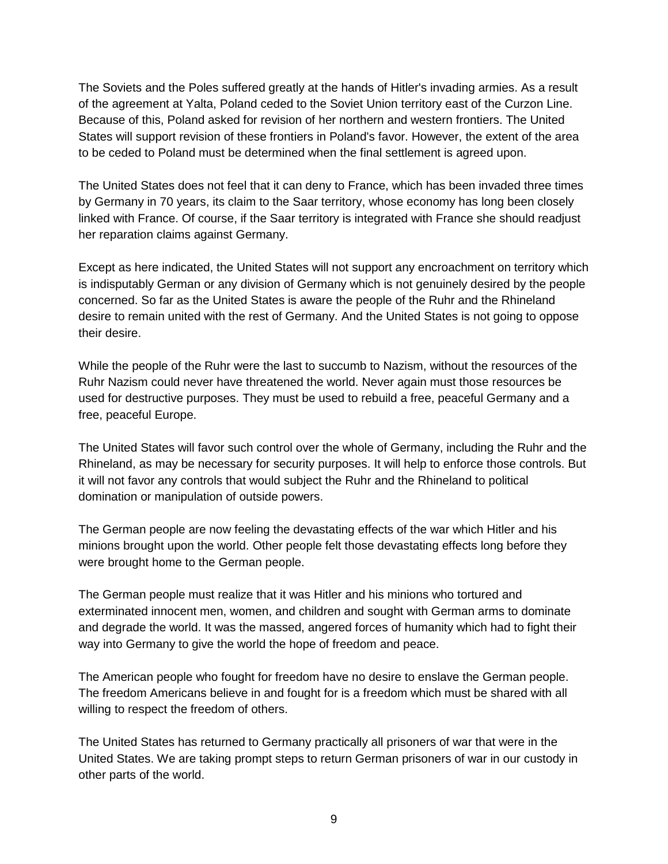The Soviets and the Poles suffered greatly at the hands of Hitler's invading armies. As a result of the agreement at Yalta, Poland ceded to the Soviet Union territory east of the Curzon Line. Because of this, Poland asked for revision of her northern and western frontiers. The United States will support revision of these frontiers in Poland's favor. However, the extent of the area to be ceded to Poland must be determined when the final settlement is agreed upon.

The United States does not feel that it can deny to France, which has been invaded three times by Germany in 70 years, its claim to the Saar territory, whose economy has long been closely linked with France. Of course, if the Saar territory is integrated with France she should readjust her reparation claims against Germany.

Except as here indicated, the United States will not support any encroachment on territory which is indisputably German or any division of Germany which is not genuinely desired by the people concerned. So far as the United States is aware the people of the Ruhr and the Rhineland desire to remain united with the rest of Germany. And the United States is not going to oppose their desire.

While the people of the Ruhr were the last to succumb to Nazism, without the resources of the Ruhr Nazism could never have threatened the world. Never again must those resources be used for destructive purposes. They must be used to rebuild a free, peaceful Germany and a free, peaceful Europe.

The United States will favor such control over the whole of Germany, including the Ruhr and the Rhineland, as may be necessary for security purposes. It will help to enforce those controls. But it will not favor any controls that would subject the Ruhr and the Rhineland to political domination or manipulation of outside powers.

The German people are now feeling the devastating effects of the war which Hitler and his minions brought upon the world. Other people felt those devastating effects long before they were brought home to the German people.

The German people must realize that it was Hitler and his minions who tortured and exterminated innocent men, women, and children and sought with German arms to dominate and degrade the world. It was the massed, angered forces of humanity which had to fight their way into Germany to give the world the hope of freedom and peace.

The American people who fought for freedom have no desire to enslave the German people. The freedom Americans believe in and fought for is a freedom which must be shared with all willing to respect the freedom of others.

The United States has returned to Germany practically all prisoners of war that were in the United States. We are taking prompt steps to return German prisoners of war in our custody in other parts of the world.